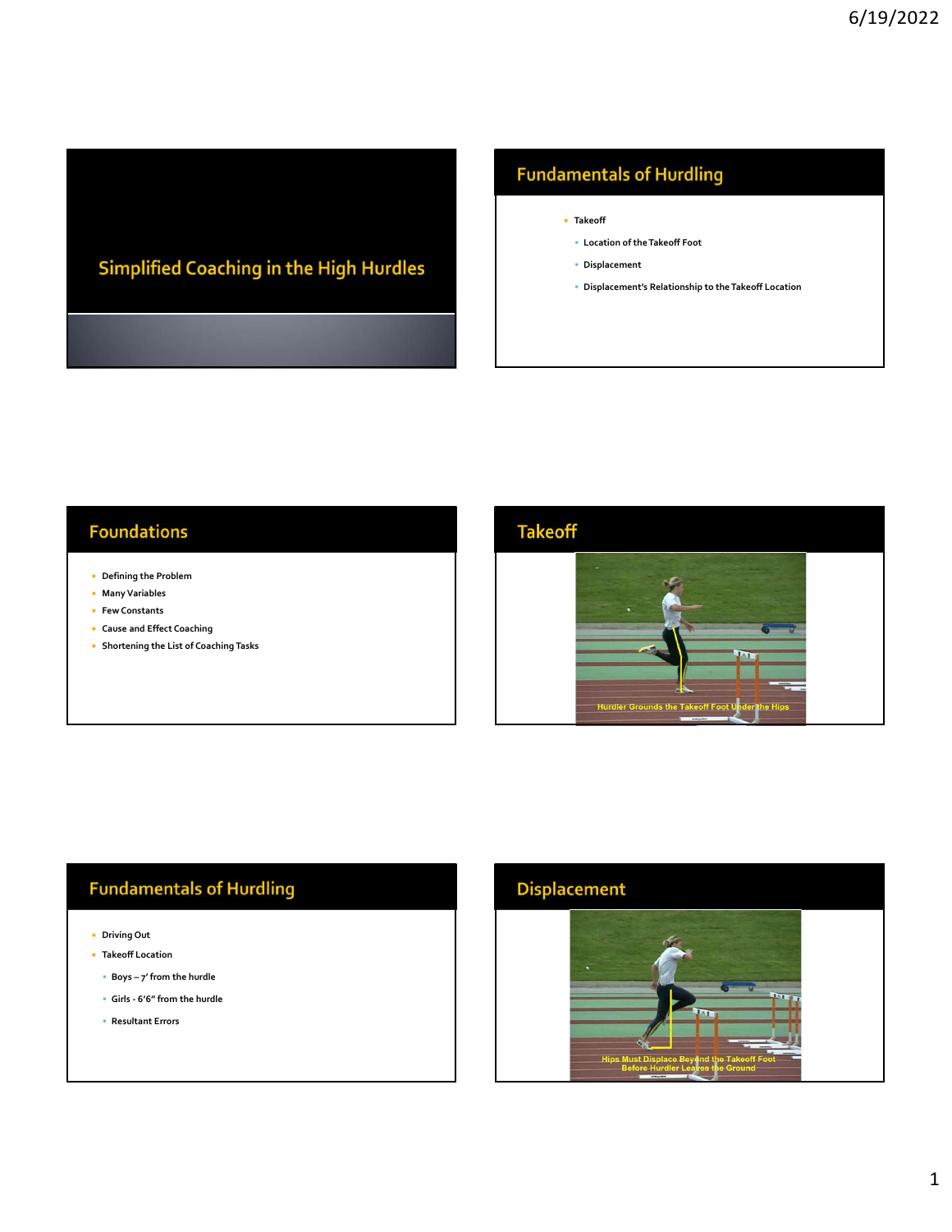# Simplified Coaching in the High Hurdles

### **Fundamentals of Hurdling**

- Takeoff
	- Location of the Takeoff Foot
	- Displacement
	- Displacement's Relationship to the Takeoff Location

#### **Foundations**

- Defining the Problem
- Many Variables
- **Few Constants**
- Cause and Effect Coaching
- **Shortening the List of Coaching Tasks**

- Driving Out
- **Takeoff Location** 
	-
	-
	- Resultant Errors



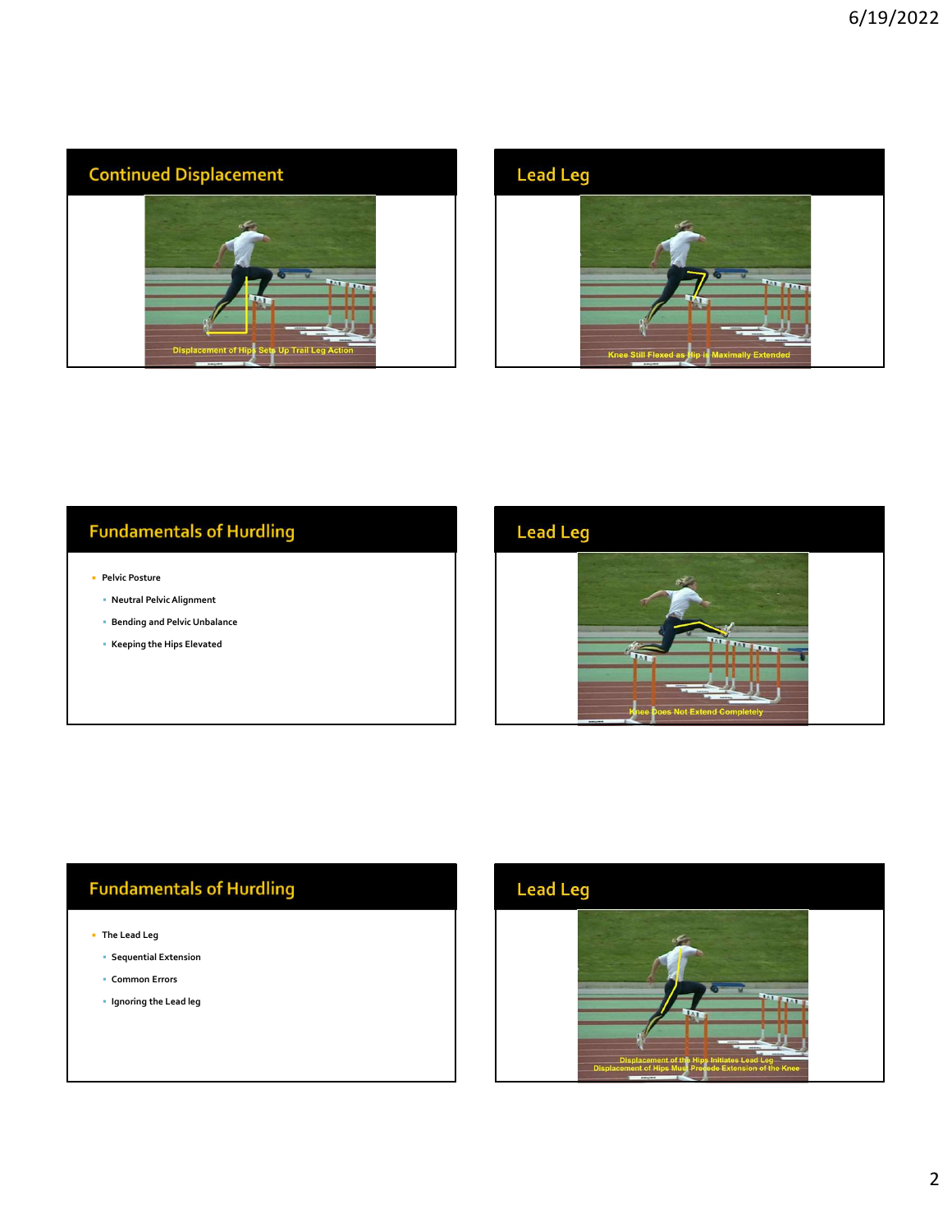



### **Fundamentals of Hurdling**

- **Pelvic Posture** 
	- Neutral Pelvic Alignment
	- Bending and Pelvic Unbalance
	- Keeping the Hips Elevated



### **Fundamentals of Hurdling**

- The Lead Leg
	- Sequential Extension
	- Common Errors
	- **Ignoring the Lead leg**

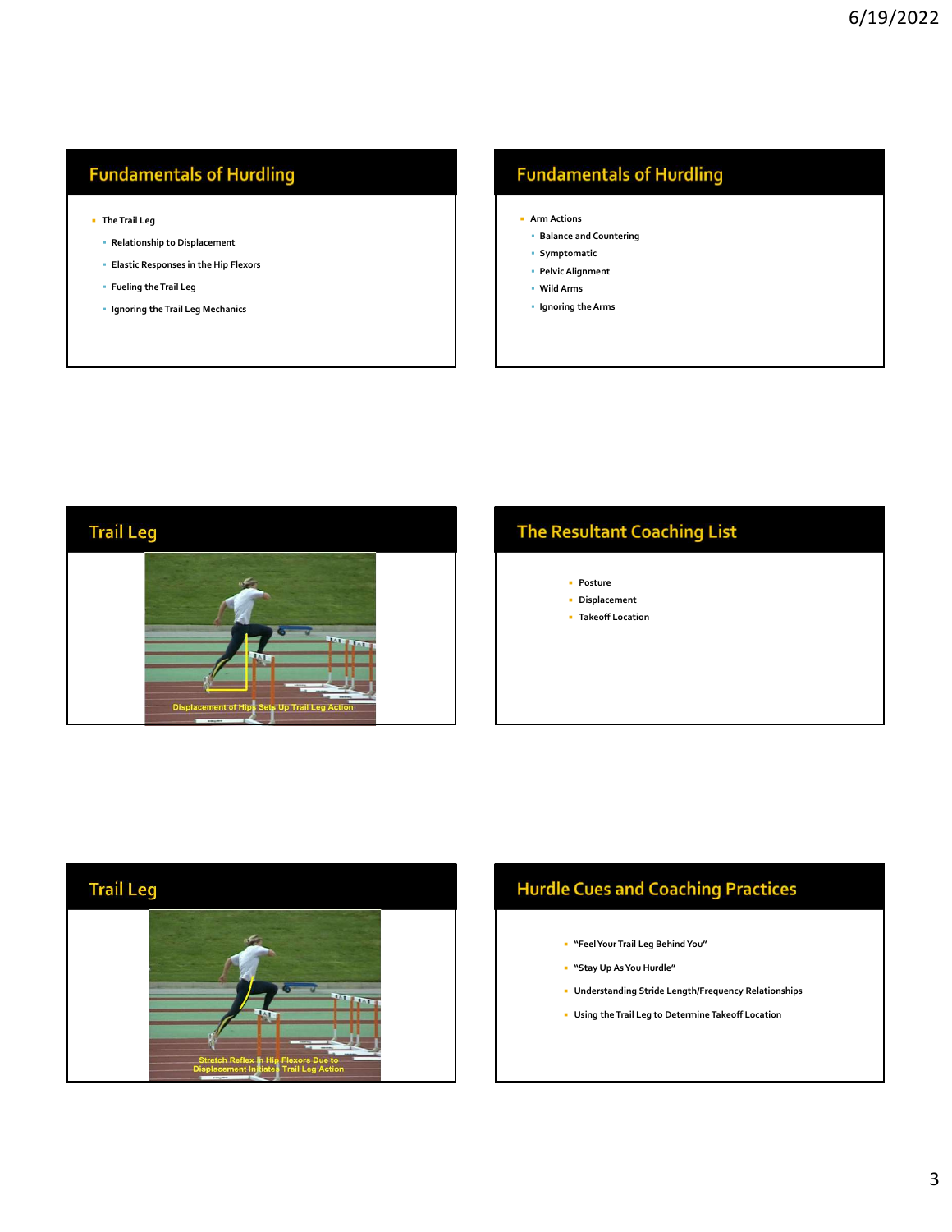### **Fundamentals of Hurdling**

- The Trail Leg
	- Relationship to Displacement
	- Elastic Responses in the Hip Flexors The Trail Leg<br>
	• Relationship to Displacement<br>
	• Elastic Responses in the Hip Flexors<br>
	• Fueling the Trail Leg<br>
	• Ignoring the Trail Leg<br>
	• Ignoring the Trail Leg<br>
	• Mid Arms<br>
	• Ignoring the Arms<br>
	• Ignoring the Arms<br>
	• Ig
	- Fueling the Trail Leg
	-

### **Fundamentals of Hurdling**

- -
	- **Symptomatic**
	- Pelvic Alignment
	- Wild Arms
	- **Ignoring the Arms**



### **The Resultant Coaching List**

- **Posture**
- Displacement
- **Takeoff Location**



## **Hurdle Cues and Coaching Practices**

- "Feel Your Trail Leg Behind You"
- "Stay Up As You Hurdle"
- Understanding Stride Length/Frequency Relationships
- Using the Trail Leg to Determine Takeoff Location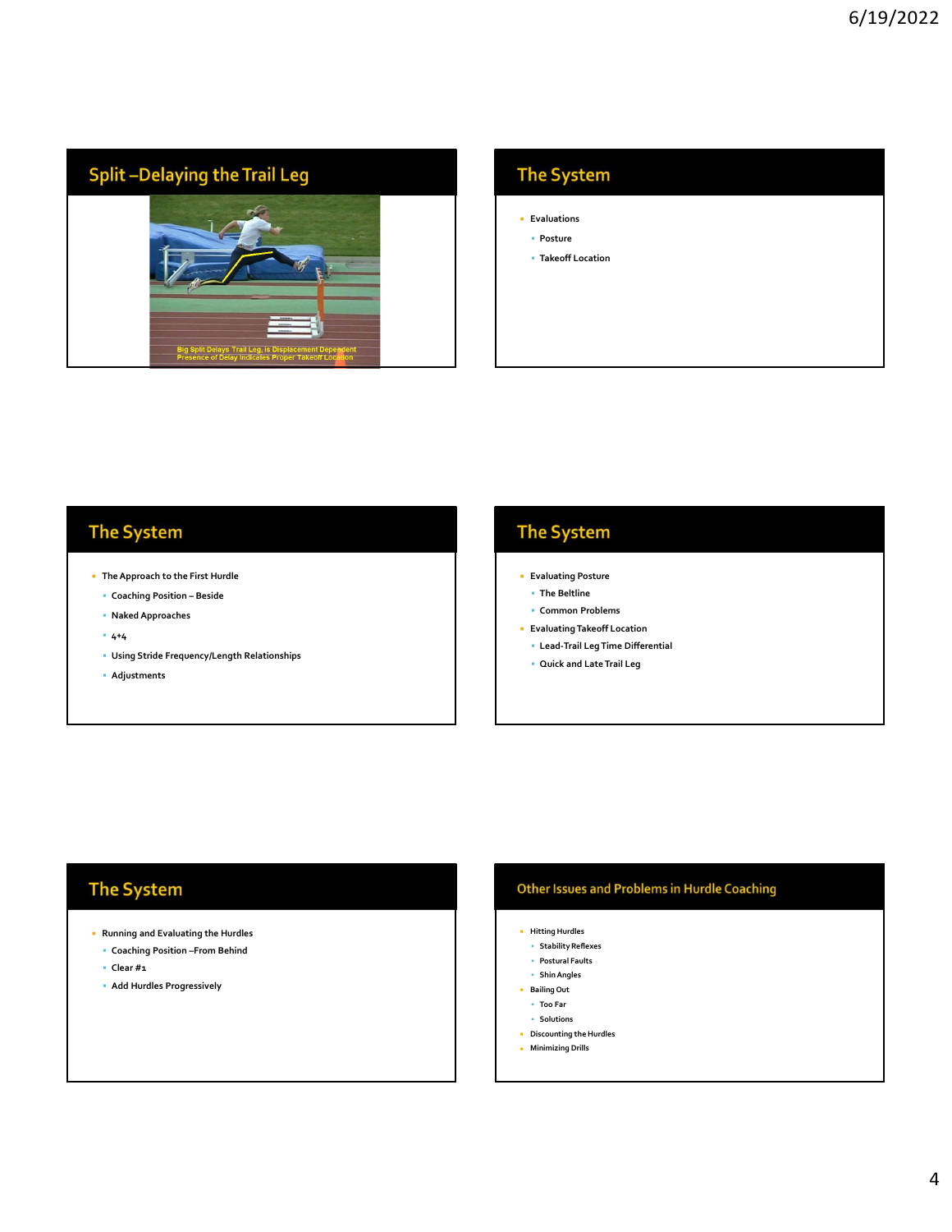

### The System

- **Evaluations**
- Posture
- Takeoff Location

- The Approach to the First Hurdle
	-
	- Naked Approaches
	- $-4+4$
	- Using Stride Frequency/Length Relationships
	- Adjustments

- **Evaluating Posture**
- The Beltline
- Common Problems
- Evaluating Takeoff Location
- Lead-Trail Leg Time Differential
- Quick and Late Trail Leg

### The System

- Running and Evaluating the Hurdles
	- Coaching Position –From Behind
	- Clear #1
	- Add Hurdles Progressively

#### **Other Issues and Problems in Hurdle Coaching**

- Hitting Hurdles
- Stability Reflexes
- Postural Faults Shin Angles
- **Bailing Out**
- Too Far
- Solutions
- Discounting the Hurdles
- **Minimizing Drills**

4